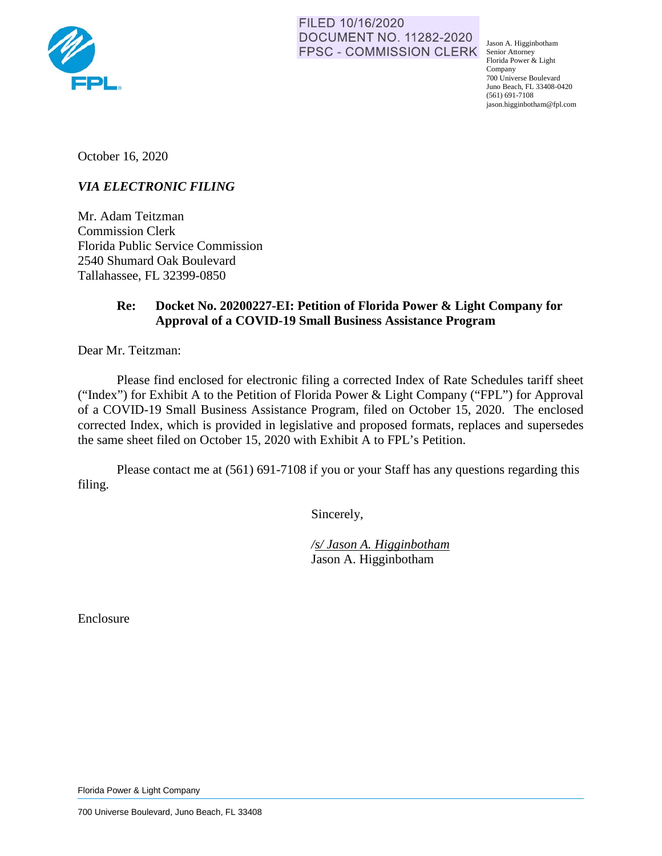

FILED 10/16/2020 **DOCUMENT NO. 11282-2020** FPSC - COMMISSION CLERK Senior Attorney

Jason A. Higginbotham Florida Power & Light Company 700 Universe Boulevard Juno Beach, FL 33408-0420 (561) 691-7108 jason.higginbotham@fpl.com

October 16, 2020

## *VIA ELECTRONIC FILING*

Mr. Adam Teitzman Commission Clerk Florida Public Service Commission 2540 Shumard Oak Boulevard Tallahassee, FL 32399-0850

## **Re: Docket No. 20200227-EI: Petition of Florida Power & Light Company for Approval of a COVID-19 Small Business Assistance Program**

Dear Mr. Teitzman:

Please find enclosed for electronic filing a corrected Index of Rate Schedules tariff sheet ("Index") for Exhibit A to the Petition of Florida Power & Light Company ("FPL") for Approval of a COVID-19 Small Business Assistance Program, filed on October 15, 2020. The enclosed corrected Index, which is provided in legislative and proposed formats, replaces and supersedes the same sheet filed on October 15, 2020 with Exhibit A to FPL's Petition.

Please contact me at (561) 691-7108 if you or your Staff has any questions regarding this filing.

Sincerely,

 */s/ Jason A. Higginbotham*  Jason A. Higginbotham

Enclosure

Florida Power & Light Company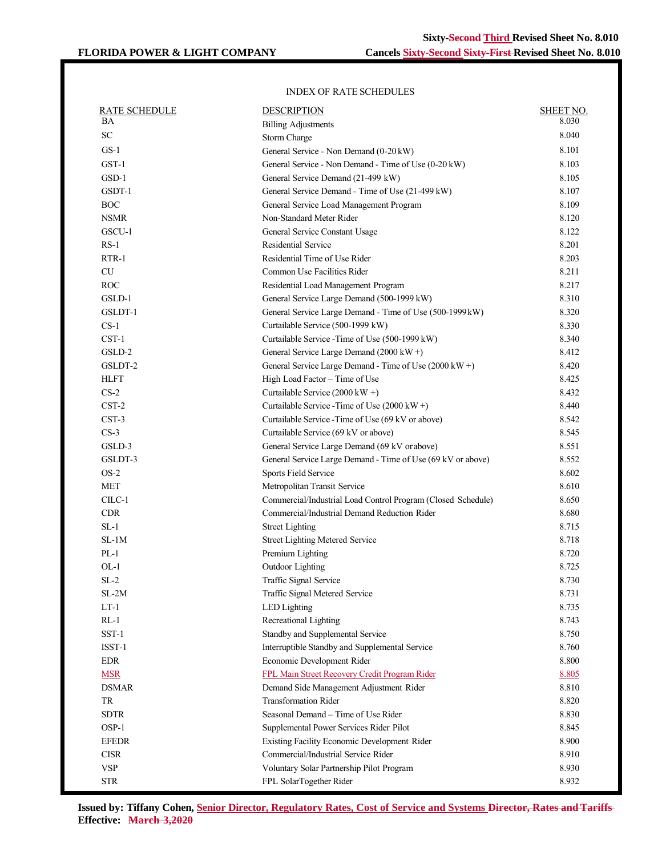## INDEX OF RATE SCHEDULES

| <b>RATE SCHEDULE</b> | <b>DESCRIPTION</b>                                           | <b>SHEET NO.</b> |
|----------------------|--------------------------------------------------------------|------------------|
| ΒA                   | <b>Billing Adjustments</b>                                   | 8.030            |
| ${\rm SC}$           | Storm Charge                                                 | 8.040            |
| $GS-1$               | General Service - Non Demand (0-20 kW)                       | 8.101            |
| GST-1                | General Service - Non Demand - Time of Use (0-20 kW)         | 8.103            |
| GSD-1                | General Service Demand (21-499 kW)                           | 8.105            |
| GSDT-1               | General Service Demand - Time of Use (21-499 kW)             | 8.107            |
| <b>BOC</b>           | General Service Load Management Program                      | 8.109            |
| <b>NSMR</b>          | Non-Standard Meter Rider                                     | 8.120            |
| GSCU-1               | General Service Constant Usage                               | 8.122            |
| $RS-1$               | Residential Service                                          | 8.201            |
| $RTR-1$              | Residential Time of Use Rider                                | 8.203            |
| CU                   | Common Use Facilities Rider                                  | 8.211            |
| <b>ROC</b>           | Residential Load Management Program                          | 8.217            |
| GSLD-1               | General Service Large Demand (500-1999 kW)                   | 8.310            |
| GSLDT-1              | General Service Large Demand - Time of Use (500-1999kW)      | 8.320            |
| $CS-1$               | Curtailable Service (500-1999 kW)                            | 8.330            |
| $CST-1$              | Curtailable Service - Time of Use (500-1999 kW)              | 8.340            |
| GSLD-2               | General Service Large Demand (2000 kW+)                      | 8.412            |
| GSLDT-2              | General Service Large Demand - Time of Use (2000 kW +)       | 8.420            |
| <b>HLFT</b>          | High Load Factor - Time of Use                               | 8.425            |
| $CS-2$               | Curtailable Service (2000 kW +)                              | 8.432            |
| $CST-2$              | Curtailable Service - Time of Use (2000 kW +)                | 8.440            |
| CST-3                | Curtailable Service - Time of Use (69 kV or above)           | 8.542            |
| $CS-3$               | Curtailable Service (69 kV or above)                         | 8.545            |
| GSLD-3               | General Service Large Demand (69 kV or above)                | 8.551            |
| GSLDT-3              | General Service Large Demand - Time of Use (69 kV or above)  | 8.552            |
| $OS-2$               | <b>Sports Field Service</b>                                  | 8.602            |
| <b>MET</b>           | Metropolitan Transit Service                                 | 8.610            |
| $CLC-1$              | Commercial/Industrial Load Control Program (Closed Schedule) | 8.650            |
| <b>CDR</b>           | Commercial/Industrial Demand Reduction Rider                 | 8.680            |
| $SL-1$               | <b>Street Lighting</b>                                       | 8.715            |
| $SL-1M$              | <b>Street Lighting Metered Service</b>                       | 8.718            |
| $PL-1$               | Premium Lighting                                             | 8.720            |
| $OL-1$               | Outdoor Lighting                                             | 8.725            |
| $SL-2$               | Traffic Signal Service                                       | 8.730            |
| $SL-2M$              | Traffic Signal Metered Service                               | 8.731            |
| $LT-1$               | LED Lighting                                                 | 8.735            |
| $RL-1$               | Recreational Lighting                                        | 8.743            |
| $SST-1$              | Standby and Supplemental Service                             | 8.750            |
| ISST-1               | Interruptible Standby and Supplemental Service               | 8.760            |
| <b>EDR</b>           | Economic Development Rider                                   | 8.800            |
| <b>MSR</b>           | FPL Main Street Recovery Credit Program Rider                | 8.805            |
| <b>DSMAR</b>         | Demand Side Management Adjustment Rider                      | 8.810            |
| TR                   | <b>Transformation Rider</b>                                  | 8.820            |
| <b>SDTR</b>          | Seasonal Demand - Time of Use Rider                          | 8.830            |
| OSP-1                | Supplemental Power Services Rider Pilot                      | 8.845            |
| <b>EFEDR</b>         | Existing Facility Economic Development Rider                 | 8.900            |
| <b>CISR</b>          | Commercial/Industrial Service Rider                          | 8.910            |
| <b>VSP</b>           | Voluntary Solar Partnership Pilot Program                    | 8.930            |
| <b>STR</b>           | FPL SolarTogether Rider                                      | 8.932            |
|                      |                                                              |                  |